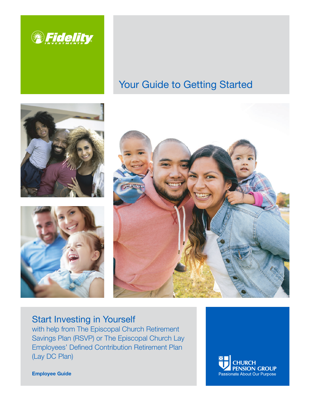

# Your Guide to Getting Started







# Start Investing in Yourself

with help from The Episcopal Church Retirement with help from The Episcopal Church Retirement Savings Plan (RSVP) or The Episcopal Church Lay Savings Plan (RSVP) or The Episcopal Church Lay (Lay DC Plan) (Lay DC Plan) Employees' Defined Contribution Retirement Plan



Employee Guide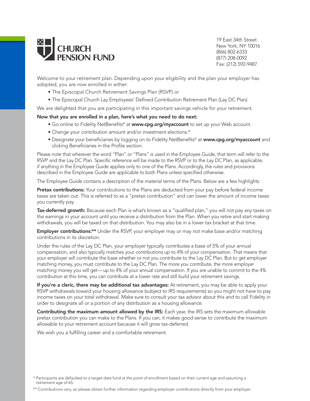

19 East 34th Street New York, NY 10016 (866) 802-6333 (877) 208-0092 Fax: (212) 592-9487

Welcome to your retirement plan. Depending upon your eligibility and the plan your employer has adopted, you are now enrolled in either:

- The Episcopal Church Retirement Savings Plan (RSVP) or
- The Episcopal Church Lay Employees' Defined Contribution Retirement Plan (Lay DC Plan).

We are delighted that you are participating in this important savings vehicle for your retirement.

#### Now that you are enrolled in a plan, here's what you need to do next:

- Go online to Fidelity NetBenefits® at www.cpg.org/myaccount to set up your Web account.
- Change your contribution amount and/or investment elections.\*
- Designate your beneficiaries by logging on to Fidelity NetBenefits® at www.cpg.org/myaccount and clicking Beneficiaries in the Profile section.

Please note that wherever the word "Plan" or "Plans" is used in the Employee Guide, that term will refer to the RSVP and the Lay DC Plan. Specific reference will be made to the RSVP or to the Lay DC Plan, as applicable, if anything in the Employee Guide applies only to one of the Plans. Accordingly, the rules and provisions described in the Employee Guide are applicable to both Plans unless specified otherwise.

The Employee Guide contains a description of the material terms of the Plans. Below are a few highlights.

Pretax contributions: Your contributions to the Plans are deducted from your pay before federal income taxes are taken out. This is referred to as a "pretax contribution" and can lower the amount of income taxes you currently pay.

Tax-deferred growth: Because each Plan is what's known as a "qualified plan," you will not pay any taxes on the earnings in your account until you receive a distribution from the Plan. When you retire and start making withdrawals, you will be taxed on that distribution. You may also be in a lower tax bracket at that time.

**Employer contributions:\*\*** Under the RSVP, your employer may or may not make base and/or matching contributions in its discretion.

Under the rules of the Lay DC Plan, your employer typically contributes a base of 5% of your annual compensation, and also typically matches your contributions up to 4% of your compensation. That means that your employer will contribute the base whether or not you contribute to the Lay DC Plan. But to get employer matching money, you must contribute to the Lay DC Plan. The more you contribute, the more employer matching money you will get—up to 4% of your annual compensation. If you are unable to commit to the 4% contribution at this time, you can contribute at a lower rate and still build your retirement savings.

If you're a cleric, there may be additional tax advantages: At retirement, you may be able to apply your RSVP withdrawals toward your housing allowance (subject to IRS requirements) so you might not have to pay income taxes on your total withdrawal. Make sure to consult your tax advisor about this and to call Fidelity in order to designate all or a portion of any distribution as a housing allowance.

Contributing the maximum amount allowed by the IRS: Each year, the IRS sets the maximum allowable pretax contribution you can make to the Plans. If you can, it makes good sense to contribute the maximum allowable to your retirement account because it will grow tax-deferred.

We wish you a fulfilling career and a comfortable retirement.

<sup>\*</sup> Participants are defaulted to a target date fund at the point of enrollment based on their current age and assuming a retirement age of 65.

<sup>\*\*</sup> Contributions vary, so please obtain further information regarding employer contributions directly from your employer.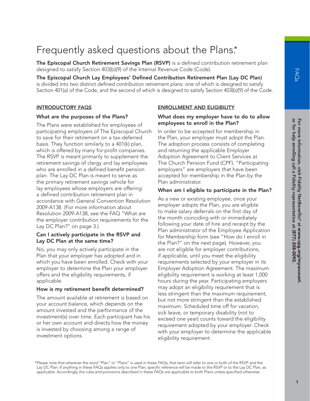# Frequently asked questions about the Plans.\*

The Episcopal Church Retirement Savings Plan (RSVP) is a defined contribution retirement plan designed to satisfy Section 403(b)(9) of the Internal Revenue Code (Code).

The Episcopal Church Lay Employees' Defined Contribution Retirement Plan (Lay DC Plan) is divided into two distinct defined contribution retirement plans: one of which is designed to satisfy Section 401(a) of the Code, and the second of which is designed to satisfy Section 403(b)(9) of the Code.

#### INTRODUCTORY FAQS

#### What are the purposes of the Plans?

The Plans were established for employees of participating employers of The Episcopal Church to save for their retirement on a tax-deferred basis. They function similarly to a 401(k) plan, which is offered by many for-profit companies. The RSVP is meant primarily to supplement the retirement savings of clergy and lay employees who are enrolled in a defined benefit pension plan. The Lay DC Plan is meant to serve as the primary retirement savings vehicle for lay employees whose employers are offering a defined contribution retirement plan in accordance with General Convention Resolution 2009-A138. (For more information about Resolution 2009-A138, see the FAQ "What are the employer contribution requirements for the Lay DC Plan?" on page 3.)

#### Can I actively participate in the RSVP and Lay DC Plan at the same time?

No, you may only actively participate in the Plan that your employer has adopted and in which you have been enrolled. Check with your employer to determine the Plan your employer offers and the eligibility requirements, if applicable.

#### How is my retirement benefit determined?

The amount available at retirement is based on your account balance, which depends on the amount invested and the performance of the investment(s) over time. Each participant has his or her own account and directs how the money is invested by choosing among a range of investment options.

#### ENROLLMENT AND ELIGIBILITY

#### What does my employer have to do to allow employees to enroll in the Plan?

In order to be accepted for membership in the Plan, your employer must adopt the Plan. The adoption process consists of completing and returning the applicable Employer Adoption Agreement to Client Services at The Church Pension Fund (CPF). "Participating employers" are employers that have been accepted for membership in the Plan by the Plan administrator.

# When am I eligible to participate in the Plan?

As a new or existing employee, once your employer adopts the Plan, you are eligible to make salary deferrals on the first day of the month coinciding with or immediately following your date of hire and receipt by the Plan administrator of the Employee Application for Membership form (see "How do I enroll in the Plan?" on the next page). However, you are not eligible for employer contributions, if applicable, until you meet the eligibility requirements selected by your employer in its Employer Adoption Agreement. The maximum eligibility requirement is working at least 1,000 hours during the year. Participating employers may adopt an eligibility requirement that is less stringent than the maximum requirement, but not more stringent than the established maximum. Scheduled time off for vacation, sick leave, or temporary disability (not to exceed one year) counts toward the eligibility requirement adopted by your employer. Check with your employer to determine the applicable eligibility requirement.

\*Please note that wherever the word "Plan" or "Plans" is used in these FAQs, that term will refer to one or both of the RSVP and the Lay DC Plan. If anything in these FAQs applies only to one Plan, specific reference will be made to the RSVP or to the Lay DC Plan, as applicable. Accordingly, the rules and provisions described in these FAQs are applicable to both Plans unless specified otherwise.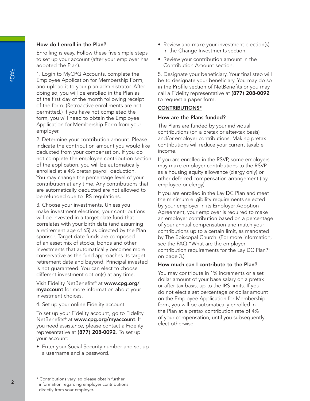#### How do I enroll in the Plan?

Enrolling is easy. Follow these five simple steps to set up your account (after your employer has adopted the Plan).

1. Login to MyCPG Accounts, complete the Employee Application for Membership Form, and upload it to your plan administrator. After doing so, you will be enrolled in the Plan as of the first day of the month following receipt of the form. (Retroactive enrollments are not permitted.) If you have not completed the form, you will need to obtain the Employee Application for Membership Form from your employer.

2. Determine your contribution amount. Please indicate the contribution amount you would like deducted from your compensation. If you do not complete the employee contribution section of the application, you will be automatically enrolled at a 4% pretax payroll deduction. You may change the percentage level of your contribution at any time. Any contributions that are automatically deducted are not allowed to be refunded due to IRS regulations.

3. Choose your investments. Unless you make investment elections, your contributions will be invested in a target date fund that correlates with your birth date (and assuming a retirement age of 65) as directed by the Plan sponsor. Target date funds are composed of an asset mix of stocks, bonds and other investments that automatically becomes more conservative as the fund approaches its target retirement date and beyond. Principal invested is not guaranteed. You can elect to choose different investment option(s) at any time.

Visit Fidelity NetBenefits® at www.cpg.org/ myaccount for more information about your investment choices.

4. Set up your online Fidelity account.

To set up your Fidelity account, go to Fidelity NetBenefits® at www.cpg.org/myaccount. If you need assistance, please contact a Fidelity representative at (877) 208-0092. To set up your account:

• Enter your Social Security number and set up a username and a password.

- Review and make your investment election(s) in the Change Investments section.
- Review your contribution amount in the Contribution Amount section.

5. Designate your beneficiary. Your final step will be to designate your beneficiary. You may do so in the Profile section of NetBenefits or you may call a Fidelity representative at (877) 208-0092 to request a paper form.

#### CONTRIBUTIONS\*

#### How are the Plans funded?

The Plans are funded by your individual contributions (on a pretax or after-tax basis) and/or employer contributions. Making pretax contributions will reduce your current taxable income.

If you are enrolled in the RSVP, some employers may make employer contributions to the RSVP as a housing equity allowance (clergy only) or other deferred compensation arrangement (lay employee or clergy).

If you are enrolled in the Lay DC Plan and meet the minimum eligibility requirements selected by your employer in its Employer Adoption Agreement, your employer is required to make an employer contribution based on a percentage of your annual compensation and match your contributions up to a certain limit, as mandated by The Episcopal Church. (For more information, see the FAQ "What are the employer contribution requirements for the Lay DC Plan?" on page 3.)

#### How much can I contribute to the Plan?

You may contribute in 1% increments or a set dollar amount of your base salary on a pretax or after-tax basis, up to the IRS limits. If you do not elect a set percentage or dollar amount on the Employee Application for Membership form, you will be automatically enrolled in the Plan at a pretax contribution rate of 4% of your compensation, until you subsequently elect otherwise.

FAQ;

<sup>\*</sup> Contributions vary, so please obtain further information regarding employer contributions directly from your employer.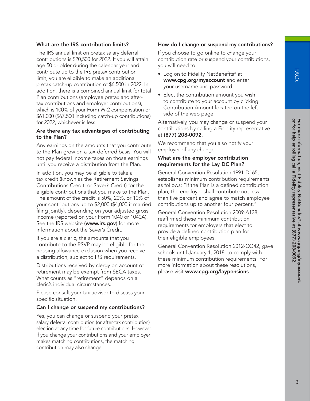# What are the IRS contribution limits?

The IRS annual limit on pretax salary deferral contributions is \$20,500 for 2022. If you will attain age 50 or older during the calendar year and contribute up to the IRS pretax contribution limit, you are eligible to make an additional pretax catch-up contribution of \$6,500 in 2022. In addition, there is a combined annual limit for total Plan contributions (employee pretax and aftertax contributions and employer contributions), which is 100% of your Form W-2 compensation or \$61,000 (\$67,500 including catch-up contributions) for 2022, whichever is less.

#### Are there any tax advantages of contributing to the Plan?

Any earnings on the amounts that you contribute to the Plan grow on a tax-deferred basis. You will not pay federal income taxes on those earnings until you receive a distribution from the Plan.

In addition, you may be eligible to take a tax credit (known as the Retirement Savings Contributions Credit, or Saver's Credit) for the eligible contributions that you make to the Plan. The amount of the credit is 50%, 20%, or 10% of your contributions up to \$2,000 (\$4,000 if married filing jointly), depending on your adjusted gross income (reported on your Form 1040 or 1040A). See the IRS website (www.irs.gov) for more information about the Saver's Credit.

If you are a cleric, the amounts that you contribute to the RSVP may be eligible for the housing allowance exclusion when you receive a distribution, subject to IRS requirements.

Distributions received by clergy on account of retirement may be exempt from SECA taxes. What counts as "retirement" depends on a cleric's individual circumstances.

Please consult your tax advisor to discuss your specific situation.

#### Can I change or suspend my contributions?

Yes, you can change or suspend your pretax salary deferral contribution (or after-tax contribution) election at any time for future contributions. However, if you change your contributions and your employer makes matching contributions, the matching contribution may also change.

#### How do I change or suspend my contributions?

If you choose to go online to change your contribution rate or suspend your contributions, you will need to:

- Log on to Fidelity NetBenefits® at www.cpg.org/myaccount and enter your username and password.
- Elect the contribution amount you wish to contribute to your account by clicking Contribution Amount located on the left side of the web page.

Alternatively, you may change or suspend your contributions by calling a Fidelity representative at (877) 208-0092.

We recommend that you also notify your employer of any change.

#### What are the employer contribution requirements for the Lay DC Plan?

General Convention Resolution 1991-D165, establishes minimum contribution requirements as follows: "If the Plan is a defined contribution plan, the employer shall contribute not less than five percent and agree to match employee contributions up to another four percent."

General Convention Resolution 2009-A138, reaffirmed these minimum contribution requirements for employers that elect to provide a defined contribution plan for their eligible employees.

General Convention Resolution 2012-CO42, gave schools until January 1, 2018, to comply with these minimum contribution requirements. For more information about these resolutions, please visit www.cpg.org/laypensions.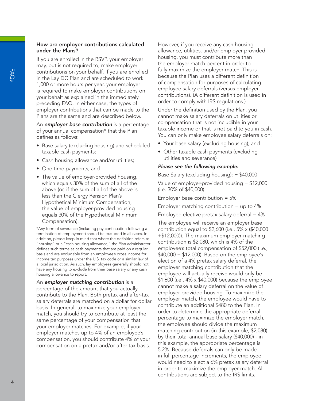# How are employer contributions calculated under the Plans?

If you are enrolled in the RSVP, your employer may, but is not required to, make employer contributions on your behalf. If you are enrolled in the Lay DC Plan and are scheduled to work 1,000 or more hours per year, your employer is required to make employer contributions on your behalf as explained in the immediately preceding FAQ. In either case, the types of employer contributions that can be made to the Plans are the same and are described below.

An *employer base contribution* is a percentage of your annual compensation\* that the Plan defines as follows:

- Base salary (excluding housing) and scheduled taxable cash payments;
- Cash housing allowance and/or utilities;
- One-time payments; and
- The value of employer-provided housing, which equals 30% of the sum of all of the above (or, if the sum of all of the above is less than the Clergy Pension Plan's Hypothetical Minimum Compensation, the value of employer-provided housing equals 30% of the Hypothetical Minimum Compensation).

\*Any form of severance (including pay continuation following a termination of employment) should be excluded in all cases. In addition, please keep in mind that where the definition refers to "housing" or a "cash housing allowance," the Plan administrator defines such terms as cash payments that are paid on a regular basis and are excludable from an employee's gross income for income tax purposes under the U.S. tax code or a similar law of a local jurisdiction. As such, lay employees generally should not have any housing to exclude from their base salary or any cash housing allowance to report.

An *employer matching contribution* is a percentage of the amount that you actually contribute to the Plan. Both pretax and after-tax salary deferrals are matched on a dollar for dollar basis. In general, to maximize your employer match, you should try to contribute at least the same percentage of your compensation that your employer matches. For example, if your employer matches up to 4% of an employee's compensation, you should contribute 4% of your compensation on a pretax and/or after-tax basis.

However, if you receive any cash housing allowance, utilities, and/or employer-provided housing, you must contribute more than the employer match percent in order to fully maximize the employer match. This is because the Plan uses a different definition of compensation for purposes of calculating employee salary deferrals (versus employer contributions). (A different definition is used in order to comply with IRS regulations.)

Under the definition used by the Plan, you cannot make salary deferrals on utilities or compensation that is not includible in your taxable income or that is not paid to you in cash. You can only make employee salary deferrals on:

- Your base salary (excluding housing); and
- Other taxable cash payments (excluding utilities and severance)

#### *Please see the following example:*

Base Salary (excluding housing); = \$40,000

Value of employer-provided housing = \$12,000 (i.e. 30% of \$40,000)

Employer base contribution = 5%

Employer matching contribution  $=$  up to  $4\%$ 

Employee elective pretax salary deferral  $= 4\%$ 

The employee will receive an employer base contribution equal to \$2,600 (i.e., 5% x (\$40,000 +\$12,000)). The maximum employer matching contribution is \$2,080, which is 4% of the employee's total compensation of \$52,000 (i.e., \$40,000 + \$12,000). Based on the employee's election of a 4% pretax salary deferral, the employer matching contribution that the employee will actually receive would only be \$1,600 (i.e., 4% x \$40,000) because the employee cannot make a salary deferral on the value of employer-provided housing. To maximize the employer match, the employee would have to contribute an additional \$480 to the Plan. In order to determine the appropriate deferral percentage to maximize the employer match, the employee should divide the maximum matching contribution (in this example, \$2,080) by their total annual base salary (\$40,000) - in this example, the appropriate percentage is 5.2%. Because deferrals can only be made in full percentage increments, the employee would need to elect a 6% pretax salary deferral in order to maximize the employer match. All contributions are subject to the IRS limits.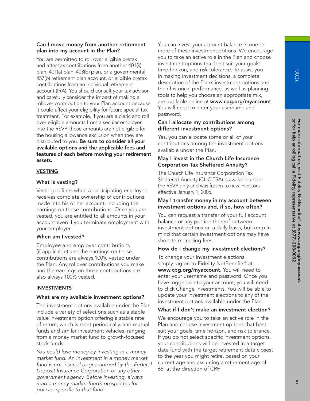# Can I move money from another retirement plan into my account in the Plan?

You are permitted to roll over eligible pretax and after-tax contributions from another 401(k) plan, 401(a) plan, 403(b) plan, or a governmental 457(b) retirement plan account, or eligible pretax contributions from an individual retirement account (IRA). You should consult your tax advisor and carefully consider the impact of making a rollover contribution to your Plan account because it could affect your eligibility for future special tax treatment. For example, if you are a cleric and roll over eligible amounts from a secular employer into the RSVP, those amounts are not eligible for the housing allowance exclusion when they are distributed to you. Be sure to consider all your available options and the applicable fees and features of each before moving your retirement assets.

#### VESTING

# What is vesting?

Vesting defines when a participating employee receives complete ownership of contributions made into his or her account, including the earnings on those contributions. Once you are vested, you are entitled to all amounts in your account even if you terminate employment with your employer.

#### When am I vested?

Employee and employer contributions (if applicable) and the earnings on those contributions are always 100% vested under the Plan. Any rollover contributions you make and the earnings on those contributions are also always 100% vested.

#### INVESTMENTS

# What are my available investment options?

The investment options available under the Plan include a variety of selections such as a stable value investment option offering a stable rate of return, which is reset periodically, and mutual funds and similar investment vehicles, ranging from a money market fund to growth-focused stock funds.

*You could lose money by investing in a money market fund. An investment in a money market fund is not insured or guaranteed by the Federal Deposit Insurance Corporation or any other government agency. Before investing, always read a money market fund's prospectus for policies specific to that fund.*

You can invest your account balance in one or more of these investment options. We encourage you to take an active role in the Plan and choose investment options that best suit your goals, time horizon, and risk tolerance. To assist you in making investment decisions, a complete description of the Plan's investment options and their historical performance, as well as planning tools to help you choose an appropriate mix, are available online at www.cpg.org/myaccount. You will need to enter your username and password.

# Can I allocate my contributions among different investment options?

Yes, you can allocate some or all of your contributions among the investment options available under the Plan.

# May I invest in the Church Life Insurance Corporation Tax Sheltered Annuity?

The Church Life Insurance Corporation Tax Sheltered Annuity (CLIC TSA) is available under the RSVP only and was frozen to new investors effective January 1, 2005.

#### May I transfer money in my account between investment options and, if so, how often?

You can request a transfer of your full account balance or any portion thereof between investment options on a daily basis, but keep in mind that certain investment options may have short-term trading fees.

#### How do I change my investment elections?

To change your investment elections, simply log on to Fidelity NetBenefits® at www.cpg.org/myaccount. You will need to enter your username and password. Once you have logged on to your account, you will need to click Change Investments. You will be able to update your investment elections to any of the investment options available under the Plan.

# What if I don't make an investment election?

We encourage you to take an active role in the Plan and choose investment options that best suit your goals, time horizon, and risk tolerance. If you do not select specific investment options, your contributions will be invested in a target date fund with the target retirement date closest to the year you might retire, based on your current age and assuming a retirement age of 65, at the direction of CPF.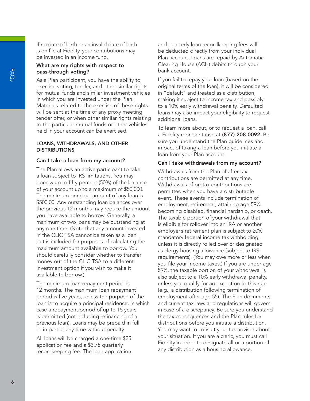If no date of birth or an invalid date of birth is on file at Fidelity, your contributions may be invested in an income fund.

# What are my rights with respect to pass-through voting?

As a Plan participant, you have the ability to exercise voting, tender, and other similar rights for mutual funds and similar investment vehicles in which you are invested under the Plan. Materials related to the exercise of these rights will be sent at the time of any proxy meeting, tender offer, or when other similar rights relating to the particular mutual funds or other vehicles held in your account can be exercised.

#### LOANS, WITHDRAWALS, AND OTHER **DISTRIBUTIONS**

# Can I take a loan from my account?

The Plan allows an active participant to take a loan subject to IRS limitations. You may borrow up to fifty percent (50%) of the balance of your account up to a maximum of \$50,000. The minimum principal amount of any loan is \$500.00. Any outstanding loan balances over the previous 12 months may reduce the amount you have available to borrow. Generally, a maximum of two loans may be outstanding at any one time. (Note that any amount invested in the CLIC TSA cannot be taken as a loan but is included for purposes of calculating the maximum amount available to borrow. You should carefully consider whether to transfer money out of the CLIC TSA to a different investment option if you wish to make it available to borrow.)

The minimum loan repayment period is 12 months. The maximum loan repayment period is five years, unless the purpose of the loan is to acquire a principal residence, in which case a repayment period of up to 15 years is permitted (not including refinancing of a previous loan). Loans may be prepaid in full or in part at any time without penalty.

All loans will be charged a one-time \$35 application fee and a \$3.75 quarterly recordkeeping fee. The loan application

and quarterly loan recordkeeping fees will be deducted directly from your individual Plan account. Loans are repaid by Automatic Clearing House (ACH) debits through your bank account.

If you fail to repay your loan (based on the original terms of the loan), it will be considered in "default" and treated as a distribution, making it subject to income tax and possibly to a 10% early withdrawal penalty. Defaulted loans may also impact your eligibility to request additional loans.

To learn more about, or to request a loan, call a Fidelity representative at (877) 208-0092. Be sure you understand the Plan guidelines and impact of taking a loan before you initiate a loan from your Plan account.

# Can I take withdrawals from my account?

Withdrawals from the Plan of after-tax contributions are permitted at any time. Withdrawals of pretax contributions are permitted when you have a distributable event. These events include termination of employment, retirement, attaining age 59½, becoming disabled, financial hardship, or death. The taxable portion of your withdrawal that is eligible for rollover into an IRA or another employer's retirement plan is subject to 20% mandatory federal income tax withholding, unless it is directly rolled over or designated as clergy housing allowance (subject to IRS requirements). (You may owe more or less when you file your income taxes.) If you are under age 59½, the taxable portion of your withdrawal is also subject to a 10% early withdrawal penalty, unless you qualify for an exception to this rule (e.g., a distribution following termination of employment after age 55). The Plan documents and current tax laws and regulations will govern in case of a discrepancy. Be sure you understand the tax consequences and the Plan rules for distributions before you initiate a distribution. You may want to consult your tax advisor about your situation. If you are a cleric, you must call Fidelity in order to designate all or a portion of any distribution as a housing allowance.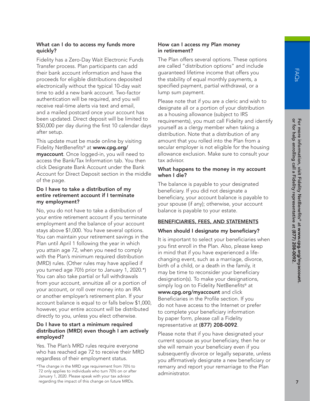# What can I do to access my funds more quickly?

Fidelity has a Zero-Day Wait Electronic Funds Transfer process. Plan participants can add their bank account information and have the proceeds for eligible distributions deposited electronically without the typical 10-day wait time to add a new bank account. Two-factor authentication will be required, and you will receive real-time alerts via text and email, and a mailed postcard once your account has been updated. Direct deposit will be limited to \$50,000 per day during the first 10 calendar days after setup.

This update must be made online by visiting Fidelity NetBenefits<sup>®</sup> at www.cpg.org/ myaccount. Once logged-in, you will need to access the Bank/Tax Information tab. You then click Designate Bank Account under the Bank Account for Direct Deposit section in the middle of the page.

# Do I have to take a distribution of my entire retirement account if I terminate my employment?

No, you do not have to take a distribution of your entire retirement account if you terminate employment and the balance of your account stays above \$1,000. You have several options. You can maintain your retirement savings in the Plan until April 1 following the year in which you attain age 72, when you need to comply with the Plan's minimum required distribution (MRD) rules. (Other rules may have applied if you turned age 70½ prior to January 1, 2020.\*) You can also take partial or full withdrawals from your account, annuitize all or a portion of your account, or roll over money into an IRA or another employer's retirement plan. If your account balance is equal to or falls below \$1,000, however, your entire account will be distributed directly to you, unless you elect otherwise.

# Do I have to start a minimum required distribution (MRD) even though I am actively employed?

Yes. The Plan's MRD rules require everyone who has reached age 72 to receive their MRD regardless of their employment status.

# How can I access my Plan money in retirement?

The Plan offers several options. These options are called "distribution options" and include guaranteed lifetime income that offers you the stability of equal monthly payments, a specified payment, partial withdrawal, or a lump sum payment.

Please note that if you are a cleric and wish to designate all or a portion of your distribution as a housing allowance (subject to IRS requirements), you must call Fidelity and identify yourself as a clergy member when taking a distribution. Note that a distribution of any amount that you rolled into the Plan from a secular employer is not eligible for the housing allowance exclusion. Make sure to consult your tax advisor.

# What happens to the money in my account when I die?

The balance is payable to your designated beneficiary. If you did not designate a beneficiary, your account balance is payable to your spouse (if any); otherwise, your account balance is payable to your estate.

# BENEFICIARIES, FEES, AND STATEMENTS

# When should I designate my beneficiary?

It is important to select your beneficiaries when you first enroll in the Plan. Also, please keep in mind that if you have experienced a lifechanging event, such as a marriage, divorce, birth of a child, or a death in the family, it may be time to reconsider your beneficiary designation(s). To make your designations, simply log on to Fidelity NetBenefits<sup>®</sup> at www.cpg.org/myaccount and click Beneficiaries in the Profile section. If you do not have access to the Internet or prefer to complete your beneficiary information by paper form, please call a Fidelity representative at (877) 208-0092.

Please note that if you have designated your current spouse as your beneficiary, then he or she will remain your beneficiary even if you subsequently divorce or legally separate, unless you affirmatively designate a new beneficiary or remarry and report your remarriage to the Plan administrator.

<sup>\*</sup>The change in the MRD age requirement from 70½ to 72 only applies to individuals who turn 70½ on or after January 1, 2020. Please speak with your tax advisor regarding the impact of this change on future MRDs.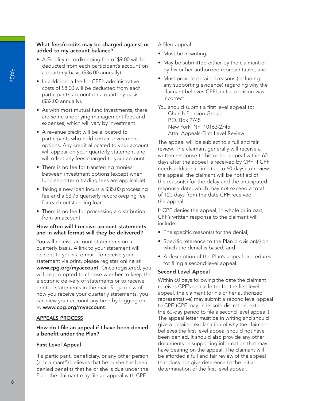# What fees/credits may be charged against or added to my account balance?

- A Fidelity recordkeeping fee of \$9.00 will be deducted from each participant's account on a quarterly basis (\$36.00 annually).
- In addition, a fee for CPF's administrative costs of \$8.00 will be deducted from each participant's account on a quarterly basis (\$32.00 annually).
- As with most mutual fund investments, there are some underlying management fees and expenses, which will vary by investment.
- A revenue credit will be allocated to participants who hold certain investment options. Any credit allocated to your account will appear on your quarterly statement and will offset any fees charged to your account.
- There is no fee for transferring monies between investment options (except when fund short-term trading fees are applicable).
- Taking a new loan incurs a \$35.00 processing fee and a \$3.75 quarterly recordkeeping fee for each outstanding loan.
- There is no fee for processing a distribution from an account.

# How often will I receive account statements and in what format will they be delivered?

You will receive account statements on a quarterly basis. A link to your statement will be sent to you via e-mail. To receive your statement via print, please register online at www.cpg.org/myaccount. Once registered, you will be prompted to choose whether to keep the electronic delivery of statements or to receive printed statements in the mail. Regardless of how you receive your quarterly statements, you can view your account any time by logging on to www.cpg.org/myaccount.

#### APPEALS PROCESS

# How do I file an appeal if I have been denied a benefit under the Plan?

#### First Level Appeal

If a participant, beneficiary, or any other person (a "claimant") believes that he or she has been denied benefits that he or she is due under the Plan, the claimant may file an appeal with CPF.

A filed appeal:

- Must be in writing,
- May be submitted either by the claimant or by his or her authorized representative, and
- Must provide detailed reasons (including any supporting evidence) regarding why the claimant believes CPF's initial decision was incorrect.

You should submit a first level appeal to: Church Pension Group P.O. Box 2745 New York, NY 10163-2745 Attn: Appeals-First Level Review

The appeal will be subject to a full and fair review. The claimant generally will receive a written response to his or her appeal within 60 days after the appeal is received by CPF. If CPF needs additional time (up to 60 days) to review the appeal, the claimant will be notified of the reason(s) for the delay and the anticipated response date, which may not exceed a total of 120 days from the date CPF received the appeal.

If CPF denies the appeal, in whole or in part, CPF's written response to the claimant will include:

- The specific reason(s) for the denial,
- Specific reference to the Plan provision(s) on which the denial is based, and
- A description of the Plan's appeal procedures for filing a second level appeal.

#### Second Level Appeal

Within 60 days following the date the claimant receives CPF's denial letter for the first level appeal, the claimant (or his or her authorized representative) may submit a second level appeal to CPF. (CPF may, in its sole discretion, extend the 60-day period to file a second level appeal.) The appeal letter must be in writing and should give a detailed explanation of why the claimant believes the first level appeal should not have been denied. It should also provide any other documents or supporting information that may have bearing on the appeal. The claimant will be afforded a full and fair review of the appeal that does not give deference to the initial determination of the first level appeal.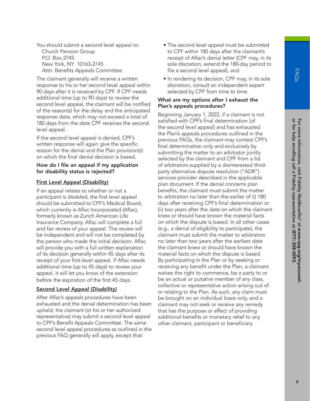You should submit a second level appeal to: Church Pension Group P.O. Box 2745 New York, NY 10163-2745 Attn: Benefits Appeals Committee

The claimant generally will receive a written response to his or her second level appeal within 90 days after it is received by CPF. If CPF needs additional time (up to 90 days) to review the second level appeal, the claimant will be notified of the reason(s) for the delay and the anticipated response date, which may not exceed a total of 180 days from the date CPF receives the second level appeal.

If the second level appeal is denied, CPF's written response will again give the specific reason for the denial and the Plan provision(s) on which the final denial decision is based.

#### How do I file an appeal if my application for disability status is rejected?

# First Level Appeal (Disability)

If an appeal relates to whether or not a participant is disabled, the first level appeal should be submitted to CPF's Medical Board, which currently is Aflac Incorporated (Aflac), formerly known as Zurich American Life Insurance Company. Aflac will complete a full and fair review of your appeal. The review will be independent and will not be completed by the person who made the initial decision. Aflac will provide you with a full written explanation of its decision generally within 45 days after its receipt of your first-level appeal. If Aflac needs additional time (up to 45 days) to review your appeal, it will let you know of the extension before the expiration of the first 45 days.

# Second Level Appeal (Disability)

After Aflac's appeals procedures have been exhausted and the denial determination has been upheld, the claimant (or his or her authorized representative) may submit a second level appeal to CPF's Benefit Appeals Committee. The same second level appeal procedures as outlined in the previous FAQ generally will apply, except that:

- The second level appeal must be submitted to CPF within 180 days after the claimant's receipt of Aflac's denial letter (CPF may, in its sole discretion, extend the 180-day period to file a second level appeal), and
- In rendering its decision, CPF may, in its sole discretion, consult an independent expert selected by CPF from time to time.

#### What are my options after I exhaust the Plan's appeals procedures?

Beginning January 1, 2022, if a claimant is not satisfied with CPF's final determination (of the second level appeal) and has exhausted the Plan's appeals procedures outlined in the previous FAQs, the claimant may contest CPF's final determination only and exclusively by submitting the matter to an arbitrator jointly selected by the claimant and CPF from a list of arbitrators supplied by a disinterested thirdparty alternative dispute resolution ("ADR") services provider described in the applicable plan document. If the denial concerns plan benefits, the claimant must submit the matter to arbitration no later than the earlier of (i) 180 days after receiving CPF's final determination or (ii) two years after the date on which the claimant knew or should have known the material facts on which the dispute is based. In all other cases (e.g., a denial of eligibility to participate), the claimant must submit the matter to arbitration no later than two years after the earliest date the claimant knew or should have known the material facts on which the dispute is based. By participating in the Plan or by seeking or receiving any benefit under the Plan, a claimant waives the right to commence, be a party to or be an actual or putative member of any class, collective or representative action arising out of or relating to the Plan. As such, any claim must be brought on an individual basis only, and a claimant may not seek or receive any remedy that has the purpose or effect of providing additional benefits or monetary relief to any other claimant, participant or beneficiary.